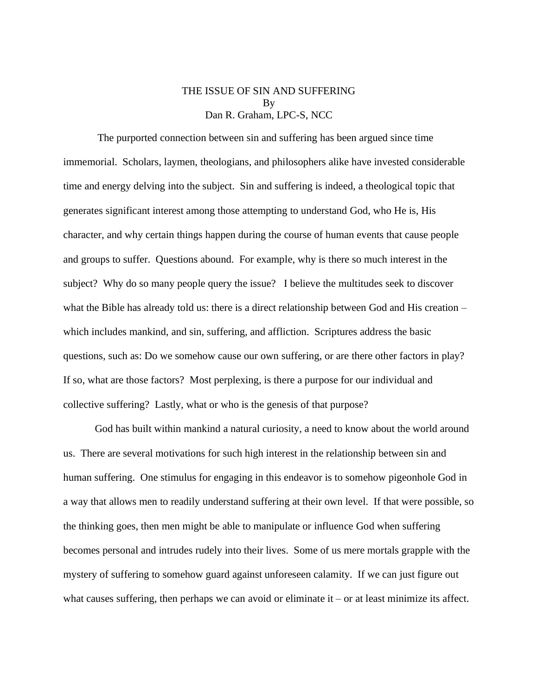## THE ISSUE OF SIN AND SUFFERING By Dan R. Graham, LPC-S, NCC

The purported connection between sin and suffering has been argued since time immemorial. Scholars, laymen, theologians, and philosophers alike have invested considerable time and energy delving into the subject. Sin and suffering is indeed, a theological topic that generates significant interest among those attempting to understand God, who He is, His character, and why certain things happen during the course of human events that cause people and groups to suffer. Questions abound. For example, why is there so much interest in the subject? Why do so many people query the issue? I believe the multitudes seek to discover what the Bible has already told us: there is a direct relationship between God and His creation – which includes mankind, and sin, suffering, and affliction. Scriptures address the basic questions, such as: Do we somehow cause our own suffering, or are there other factors in play? If so, what are those factors? Most perplexing, is there a purpose for our individual and collective suffering? Lastly, what or who is the genesis of that purpose?

God has built within mankind a natural curiosity, a need to know about the world around us. There are several motivations for such high interest in the relationship between sin and human suffering. One stimulus for engaging in this endeavor is to somehow pigeonhole God in a way that allows men to readily understand suffering at their own level. If that were possible, so the thinking goes, then men might be able to manipulate or influence God when suffering becomes personal and intrudes rudely into their lives. Some of us mere mortals grapple with the mystery of suffering to somehow guard against unforeseen calamity. If we can just figure out what causes suffering, then perhaps we can avoid or eliminate it – or at least minimize its affect.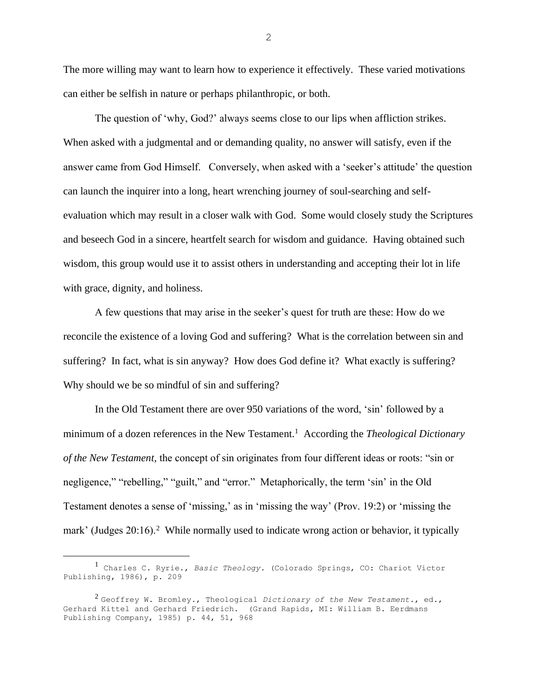The more willing may want to learn how to experience it effectively. These varied motivations can either be selfish in nature or perhaps philanthropic, or both.

The question of 'why, God?' always seems close to our lips when affliction strikes. When asked with a judgmental and or demanding quality, no answer will satisfy, even if the answer came from God Himself. Conversely, when asked with a 'seeker's attitude' the question can launch the inquirer into a long, heart wrenching journey of soul-searching and selfevaluation which may result in a closer walk with God. Some would closely study the Scriptures and beseech God in a sincere, heartfelt search for wisdom and guidance. Having obtained such wisdom, this group would use it to assist others in understanding and accepting their lot in life with grace, dignity, and holiness.

A few questions that may arise in the seeker's quest for truth are these: How do we reconcile the existence of a loving God and suffering? What is the correlation between sin and suffering? In fact, what is sin anyway? How does God define it? What exactly is suffering? Why should we be so mindful of sin and suffering?

In the Old Testament there are over 950 variations of the word, 'sin' followed by a minimum of a dozen references in the New Testament.<sup>1</sup> According the *Theological Dictionary of the New Testament,* the concept of sin originates from four different ideas or roots: "sin or negligence," "rebelling," "guilt," and "error." Metaphorically, the term 'sin' in the Old Testament denotes a sense of 'missing,' as in 'missing the way' (Prov. 19:2) or 'missing the mark' (Judges 20:16).<sup>2</sup> While normally used to indicate wrong action or behavior, it typically

<sup>1</sup> Charles C. Ryrie., *Basic Theology.* (Colorado Springs, CO: Chariot Victor Publishing, 1986), p. 209

<sup>2</sup> Geoffrey W. Bromley., Theological *Dictionary of the New Testament.*, ed., Gerhard Kittel and Gerhard Friedrich. (Grand Rapids, MI: William B. Eerdmans Publishing Company, 1985) p. 44, 51, 968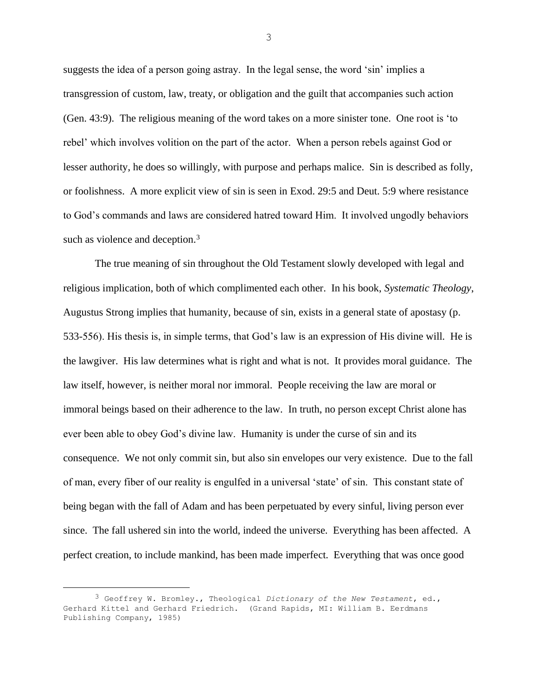suggests the idea of a person going astray. In the legal sense, the word 'sin' implies a transgression of custom, law, treaty, or obligation and the guilt that accompanies such action (Gen. 43:9). The religious meaning of the word takes on a more sinister tone. One root is 'to rebel' which involves volition on the part of the actor. When a person rebels against God or lesser authority, he does so willingly, with purpose and perhaps malice. Sin is described as folly, or foolishness. A more explicit view of sin is seen in Exod. 29:5 and Deut. 5:9 where resistance to God's commands and laws are considered hatred toward Him. It involved ungodly behaviors such as violence and deception.<sup>3</sup>

The true meaning of sin throughout the Old Testament slowly developed with legal and religious implication, both of which complimented each other. In his book, *Systematic Theology*, Augustus Strong implies that humanity, because of sin, exists in a general state of apostasy (p. 533-556). His thesis is, in simple terms, that God's law is an expression of His divine will. He is the lawgiver. His law determines what is right and what is not. It provides moral guidance. The law itself, however, is neither moral nor immoral. People receiving the law are moral or immoral beings based on their adherence to the law. In truth, no person except Christ alone has ever been able to obey God's divine law. Humanity is under the curse of sin and its consequence. We not only commit sin, but also sin envelopes our very existence. Due to the fall of man, every fiber of our reality is engulfed in a universal 'state' of sin. This constant state of being began with the fall of Adam and has been perpetuated by every sinful, living person ever since. The fall ushered sin into the world, indeed the universe. Everything has been affected. A perfect creation, to include mankind, has been made imperfect. Everything that was once good

<sup>3</sup> Geoffrey W. Bromley., Theological *Dictionary of the New Testament*, ed., Gerhard Kittel and Gerhard Friedrich. (Grand Rapids, MI: William B. Eerdmans Publishing Company, 1985)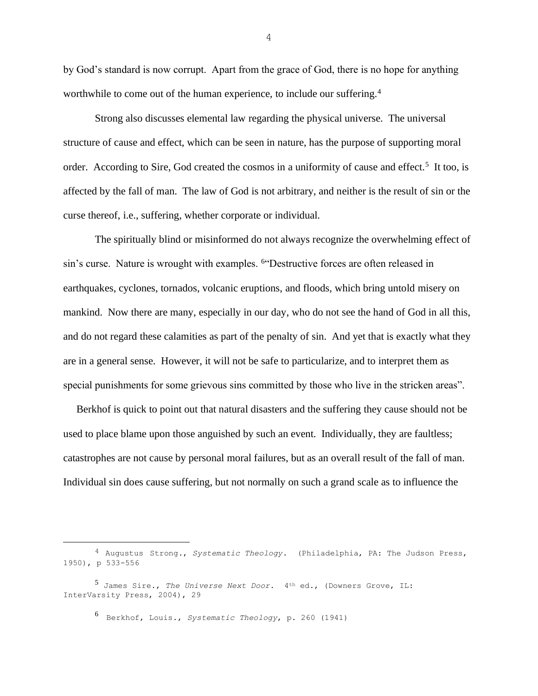by God's standard is now corrupt. Apart from the grace of God, there is no hope for anything worthwhile to come out of the human experience, to include our suffering.<sup>4</sup>

Strong also discusses elemental law regarding the physical universe. The universal structure of cause and effect, which can be seen in nature, has the purpose of supporting moral order. According to Sire, God created the cosmos in a uniformity of cause and effect.<sup>5</sup> It too, is affected by the fall of man. The law of God is not arbitrary, and neither is the result of sin or the curse thereof, i.e., suffering, whether corporate or individual.

The spiritually blind or misinformed do not always recognize the overwhelming effect of sin's curse. Nature is wrought with examples. <sup>6"</sup>Destructive forces are often released in earthquakes, cyclones, tornados, volcanic eruptions, and floods, which bring untold misery on mankind. Now there are many, especially in our day, who do not see the hand of God in all this, and do not regard these calamities as part of the penalty of sin. And yet that is exactly what they are in a general sense. However, it will not be safe to particularize, and to interpret them as special punishments for some grievous sins committed by those who live in the stricken areas".

 Berkhof is quick to point out that natural disasters and the suffering they cause should not be used to place blame upon those anguished by such an event. Individually, they are faultless; catastrophes are not cause by personal moral failures, but as an overall result of the fall of man. Individual sin does cause suffering, but not normally on such a grand scale as to influence the

6 Berkhof, Louis., *Systematic Theology*, p. 260 (1941)

<sup>4</sup> Augustus Strong., *Systematic Theology*. (Philadelphia, PA: The Judson Press, 1950), p 533-556

<sup>5</sup> James Sire., *The Universe Next Door.* 4th ed., (Downers Grove, IL: InterVarsity Press, 2004), 29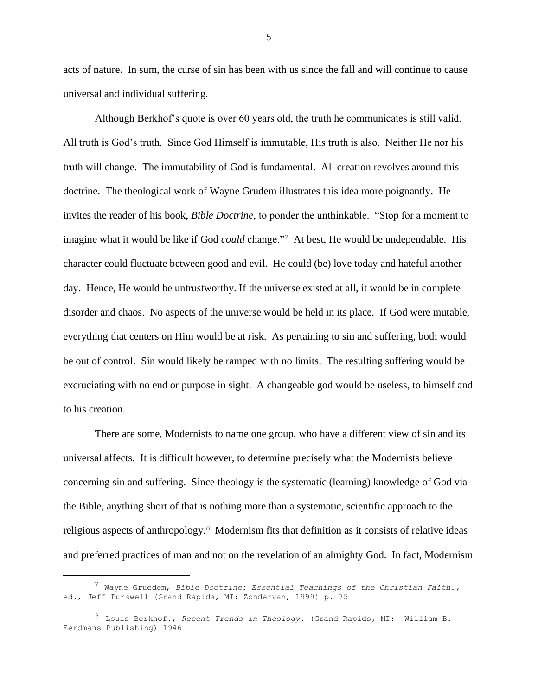acts of nature. In sum, the curse of sin has been with us since the fall and will continue to cause universal and individual suffering.

Although Berkhof's quote is over 60 years old, the truth he communicates is still valid. All truth is God's truth. Since God Himself is immutable, His truth is also. Neither He nor his truth will change. The immutability of God is fundamental. All creation revolves around this doctrine. The theological work of Wayne Grudem illustrates this idea more poignantly. He invites the reader of his book, *Bible Doctrine*, to ponder the unthinkable. "Stop for a moment to imagine what it would be like if God *could* change."<sup>7</sup> At best, He would be undependable. His character could fluctuate between good and evil. He could (be) love today and hateful another day. Hence, He would be untrustworthy. If the universe existed at all, it would be in complete disorder and chaos. No aspects of the universe would be held in its place. If God were mutable, everything that centers on Him would be at risk. As pertaining to sin and suffering, both would be out of control. Sin would likely be ramped with no limits. The resulting suffering would be excruciating with no end or purpose in sight. A changeable god would be useless, to himself and to his creation.

There are some, Modernists to name one group, who have a different view of sin and its universal affects. It is difficult however, to determine precisely what the Modernists believe concerning sin and suffering. Since theology is the systematic (learning) knowledge of God via the Bible, anything short of that is nothing more than a systematic, scientific approach to the religious aspects of anthropology.<sup>8</sup> Modernism fits that definition as it consists of relative ideas and preferred practices of man and not on the revelation of an almighty God. In fact, Modernism

<sup>7</sup> Wayne Gruedem, *Bible Doctrine: Essential Teachings of the Christian Faith.,*  ed., Jeff Purswell (Grand Rapids, MI: Zondervan, 1999) p. 75

<sup>8</sup> Louis Berkhof., *Recent Trends in Theology*. (Grand Rapids, MI: William B. Eerdmans Publishing) 1946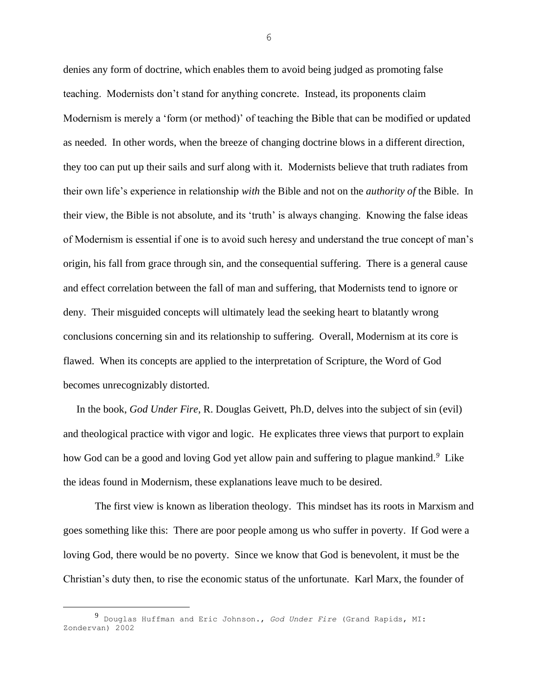denies any form of doctrine, which enables them to avoid being judged as promoting false teaching. Modernists don't stand for anything concrete. Instead, its proponents claim Modernism is merely a 'form (or method)' of teaching the Bible that can be modified or updated as needed. In other words, when the breeze of changing doctrine blows in a different direction, they too can put up their sails and surf along with it. Modernists believe that truth radiates from their own life's experience in relationship *with* the Bible and not on the *authority of* the Bible. In their view, the Bible is not absolute, and its 'truth' is always changing. Knowing the false ideas of Modernism is essential if one is to avoid such heresy and understand the true concept of man's origin, his fall from grace through sin, and the consequential suffering. There is a general cause and effect correlation between the fall of man and suffering, that Modernists tend to ignore or deny. Their misguided concepts will ultimately lead the seeking heart to blatantly wrong conclusions concerning sin and its relationship to suffering. Overall, Modernism at its core is flawed. When its concepts are applied to the interpretation of Scripture, the Word of God becomes unrecognizably distorted.

 In the book, *God Under Fire*, R. Douglas Geivett, Ph.D, delves into the subject of sin (evil) and theological practice with vigor and logic. He explicates three views that purport to explain how God can be a good and loving God yet allow pain and suffering to plague mankind.*<sup>9</sup>* Like the ideas found in Modernism, these explanations leave much to be desired.

The first view is known as liberation theology. This mindset has its roots in Marxism and goes something like this: There are poor people among us who suffer in poverty. If God were a loving God, there would be no poverty. Since we know that God is benevolent, it must be the Christian's duty then, to rise the economic status of the unfortunate. Karl Marx, the founder of

<sup>9</sup> Douglas Huffman and Eric Johnson., *God Under Fire* (Grand Rapids, MI: Zondervan) 2002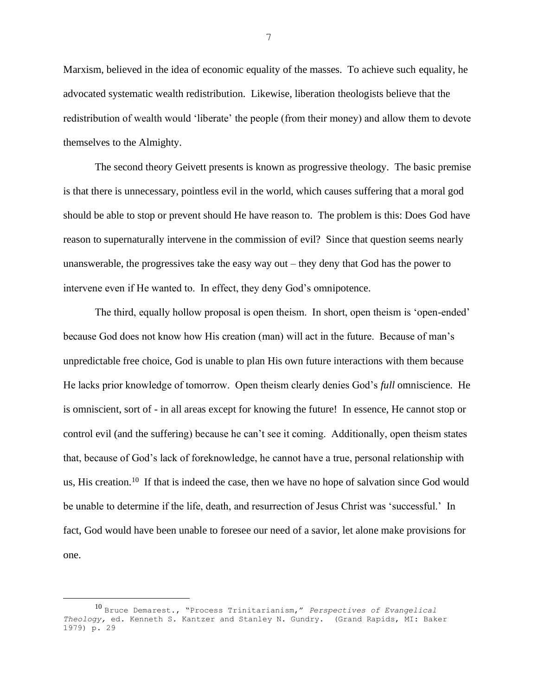Marxism, believed in the idea of economic equality of the masses. To achieve such equality, he advocated systematic wealth redistribution. Likewise, liberation theologists believe that the redistribution of wealth would 'liberate' the people (from their money) and allow them to devote themselves to the Almighty.

The second theory Geivett presents is known as progressive theology. The basic premise is that there is unnecessary, pointless evil in the world, which causes suffering that a moral god should be able to stop or prevent should He have reason to. The problem is this: Does God have reason to supernaturally intervene in the commission of evil? Since that question seems nearly unanswerable, the progressives take the easy way out – they deny that God has the power to intervene even if He wanted to. In effect, they deny God's omnipotence.

The third, equally hollow proposal is open theism. In short, open theism is 'open-ended' because God does not know how His creation (man) will act in the future. Because of man's unpredictable free choice, God is unable to plan His own future interactions with them because He lacks prior knowledge of tomorrow. Open theism clearly denies God's *full* omniscience. He is omniscient, sort of - in all areas except for knowing the future! In essence, He cannot stop or control evil (and the suffering) because he can't see it coming. Additionally, open theism states that, because of God's lack of foreknowledge, he cannot have a true, personal relationship with us, His creation.<sup>10</sup> If that is indeed the case, then we have no hope of salvation since God would be unable to determine if the life, death, and resurrection of Jesus Christ was 'successful.' In fact, God would have been unable to foresee our need of a savior, let alone make provisions for one.

<sup>10</sup> Bruce Demarest., "Process Trinitarianism," *Perspectives of Evangelical Theology,* ed. Kenneth S. Kantzer and Stanley N. Gundry. (Grand Rapids, MI: Baker 1979) p. 29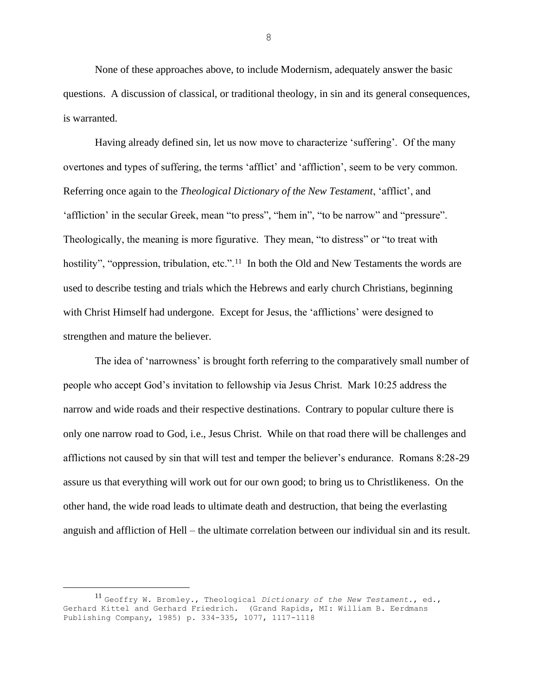None of these approaches above, to include Modernism, adequately answer the basic questions. A discussion of classical, or traditional theology, in sin and its general consequences, is warranted.

Having already defined sin, let us now move to characterize 'suffering'. Of the many overtones and types of suffering, the terms 'afflict' and 'affliction', seem to be very common. Referring once again to the *Theological Dictionary of the New Testament*, 'afflict', and 'affliction' in the secular Greek, mean "to press", "hem in", "to be narrow" and "pressure". Theologically, the meaning is more figurative. They mean, "to distress" or "to treat with hostility", "oppression, tribulation, etc.".<sup>11</sup> In both the Old and New Testaments the words are used to describe testing and trials which the Hebrews and early church Christians, beginning with Christ Himself had undergone. Except for Jesus, the 'afflictions' were designed to strengthen and mature the believer.

The idea of 'narrowness' is brought forth referring to the comparatively small number of people who accept God's invitation to fellowship via Jesus Christ. Mark 10:25 address the narrow and wide roads and their respective destinations. Contrary to popular culture there is only one narrow road to God, i.e., Jesus Christ. While on that road there will be challenges and afflictions not caused by sin that will test and temper the believer's endurance. Romans 8:28-29 assure us that everything will work out for our own good; to bring us to Christlikeness. On the other hand, the wide road leads to ultimate death and destruction, that being the everlasting anguish and affliction of Hell – the ultimate correlation between our individual sin and its result.

<sup>11</sup> Geoffry W. Bromley., Theological *Dictionary of the New Testament.*, ed., Gerhard Kittel and Gerhard Friedrich. (Grand Rapids, MI: William B. Eerdmans Publishing Company, 1985) p. 334-335, 1077, 1117-1118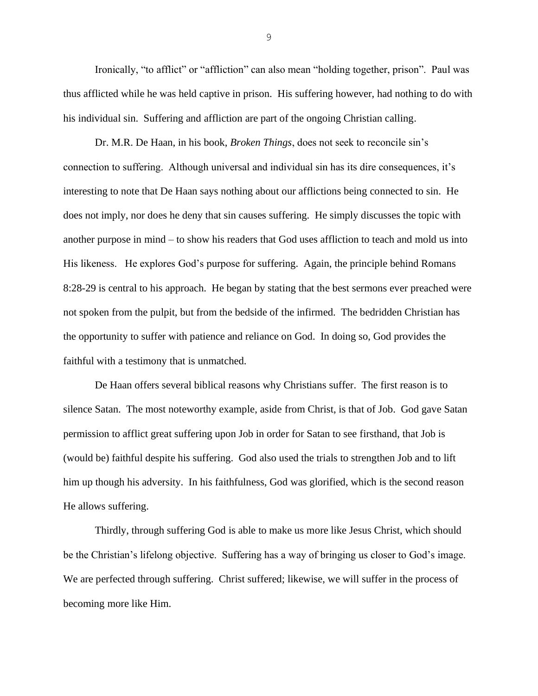Ironically, "to afflict" or "affliction" can also mean "holding together, prison". Paul was thus afflicted while he was held captive in prison. His suffering however, had nothing to do with his individual sin. Suffering and affliction are part of the ongoing Christian calling.

Dr. M.R. De Haan, in his book, *Broken Things*, does not seek to reconcile sin's connection to suffering. Although universal and individual sin has its dire consequences, it's interesting to note that De Haan says nothing about our afflictions being connected to sin. He does not imply, nor does he deny that sin causes suffering. He simply discusses the topic with another purpose in mind – to show his readers that God uses affliction to teach and mold us into His likeness. He explores God's purpose for suffering. Again, the principle behind Romans 8:28-29 is central to his approach. He began by stating that the best sermons ever preached were not spoken from the pulpit, but from the bedside of the infirmed. The bedridden Christian has the opportunity to suffer with patience and reliance on God. In doing so, God provides the faithful with a testimony that is unmatched.

De Haan offers several biblical reasons why Christians suffer. The first reason is to silence Satan. The most noteworthy example, aside from Christ, is that of Job. God gave Satan permission to afflict great suffering upon Job in order for Satan to see firsthand, that Job is (would be) faithful despite his suffering. God also used the trials to strengthen Job and to lift him up though his adversity. In his faithfulness, God was glorified, which is the second reason He allows suffering.

Thirdly, through suffering God is able to make us more like Jesus Christ, which should be the Christian's lifelong objective. Suffering has a way of bringing us closer to God's image. We are perfected through suffering. Christ suffered; likewise, we will suffer in the process of becoming more like Him.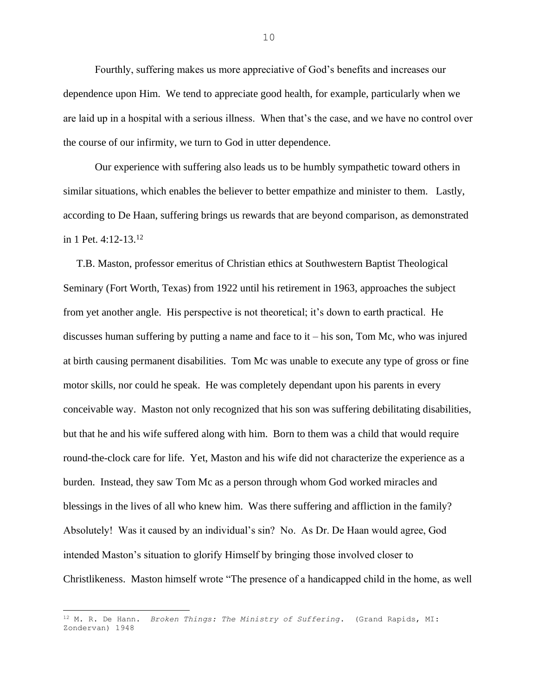Fourthly, suffering makes us more appreciative of God's benefits and increases our dependence upon Him. We tend to appreciate good health, for example, particularly when we are laid up in a hospital with a serious illness. When that's the case, and we have no control over the course of our infirmity, we turn to God in utter dependence.

Our experience with suffering also leads us to be humbly sympathetic toward others in similar situations, which enables the believer to better empathize and minister to them. Lastly, according to De Haan, suffering brings us rewards that are beyond comparison, as demonstrated in 1 Pet. 4:12-13.<sup>12</sup>

 T.B. Maston, professor emeritus of Christian ethics at Southwestern Baptist Theological Seminary (Fort Worth, Texas) from 1922 until his retirement in 1963, approaches the subject from yet another angle. His perspective is not theoretical; it's down to earth practical. He discusses human suffering by putting a name and face to it  $-$  his son, Tom Mc, who was injured at birth causing permanent disabilities. Tom Mc was unable to execute any type of gross or fine motor skills, nor could he speak. He was completely dependant upon his parents in every conceivable way. Maston not only recognized that his son was suffering debilitating disabilities, but that he and his wife suffered along with him. Born to them was a child that would require round-the-clock care for life. Yet, Maston and his wife did not characterize the experience as a burden. Instead, they saw Tom Mc as a person through whom God worked miracles and blessings in the lives of all who knew him. Was there suffering and affliction in the family? Absolutely! Was it caused by an individual's sin? No. As Dr. De Haan would agree, God intended Maston's situation to glorify Himself by bringing those involved closer to Christlikeness. Maston himself wrote "The presence of a handicapped child in the home, as well

<sup>12</sup> M. R. De Hann. *Broken Things: The Ministry of Suffering*. (Grand Rapids, MI: Zondervan) 1948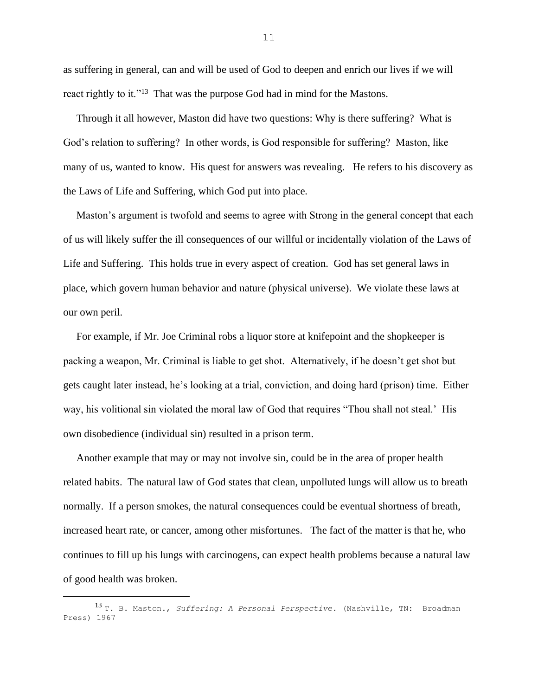as suffering in general, can and will be used of God to deepen and enrich our lives if we will react rightly to it."<sup>13</sup> That was the purpose God had in mind for the Mastons.

 Through it all however, Maston did have two questions: Why is there suffering? What is God's relation to suffering? In other words, is God responsible for suffering? Maston, like many of us, wanted to know. His quest for answers was revealing. He refers to his discovery as the Laws of Life and Suffering, which God put into place.

 Maston's argument is twofold and seems to agree with Strong in the general concept that each of us will likely suffer the ill consequences of our willful or incidentally violation of the Laws of Life and Suffering. This holds true in every aspect of creation. God has set general laws in place, which govern human behavior and nature (physical universe). We violate these laws at our own peril.

 For example, if Mr. Joe Criminal robs a liquor store at knifepoint and the shopkeeper is packing a weapon, Mr. Criminal is liable to get shot. Alternatively, if he doesn't get shot but gets caught later instead, he's looking at a trial, conviction, and doing hard (prison) time. Either way, his volitional sin violated the moral law of God that requires "Thou shall not steal.' His own disobedience (individual sin) resulted in a prison term.

 Another example that may or may not involve sin, could be in the area of proper health related habits. The natural law of God states that clean, unpolluted lungs will allow us to breath normally. If a person smokes, the natural consequences could be eventual shortness of breath, increased heart rate, or cancer, among other misfortunes. The fact of the matter is that he, who continues to fill up his lungs with carcinogens, can expect health problems because a natural law of good health was broken.

<sup>13</sup> T. B. Maston., *Suffering: A Personal Perspective.* (Nashville, TN: Broadman Press) 1967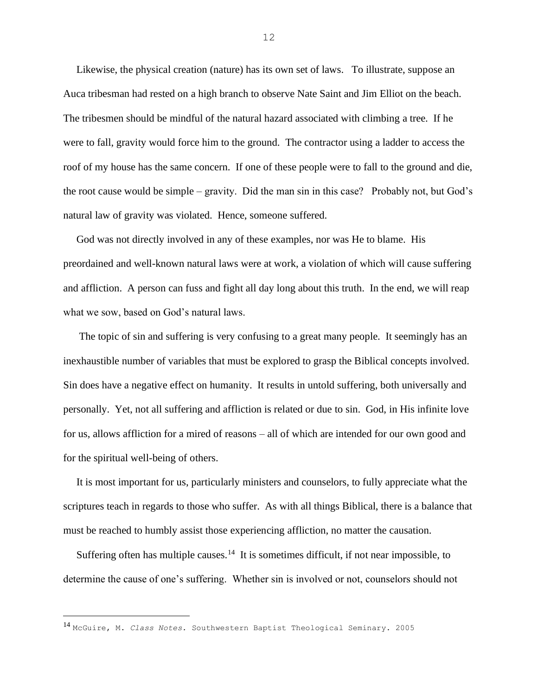Likewise, the physical creation (nature) has its own set of laws. To illustrate, suppose an Auca tribesman had rested on a high branch to observe Nate Saint and Jim Elliot on the beach. The tribesmen should be mindful of the natural hazard associated with climbing a tree. If he were to fall, gravity would force him to the ground. The contractor using a ladder to access the roof of my house has the same concern. If one of these people were to fall to the ground and die, the root cause would be simple – gravity. Did the man sin in this case? Probably not, but God's natural law of gravity was violated. Hence, someone suffered.

 God was not directly involved in any of these examples, nor was He to blame. His preordained and well-known natural laws were at work, a violation of which will cause suffering and affliction. A person can fuss and fight all day long about this truth. In the end, we will reap what we sow, based on God's natural laws.

 The topic of sin and suffering is very confusing to a great many people. It seemingly has an inexhaustible number of variables that must be explored to grasp the Biblical concepts involved. Sin does have a negative effect on humanity. It results in untold suffering, both universally and personally. Yet, not all suffering and affliction is related or due to sin. God, in His infinite love for us, allows affliction for a mired of reasons – all of which are intended for our own good and for the spiritual well-being of others.

 It is most important for us, particularly ministers and counselors, to fully appreciate what the scriptures teach in regards to those who suffer. As with all things Biblical, there is a balance that must be reached to humbly assist those experiencing affliction, no matter the causation.

Suffering often has multiple causes.<sup>14</sup> It is sometimes difficult, if not near impossible, to determine the cause of one's suffering. Whether sin is involved or not, counselors should not

<sup>14</sup> McGuire, M. *Class Notes.* Southwestern Baptist Theological Seminary. 2005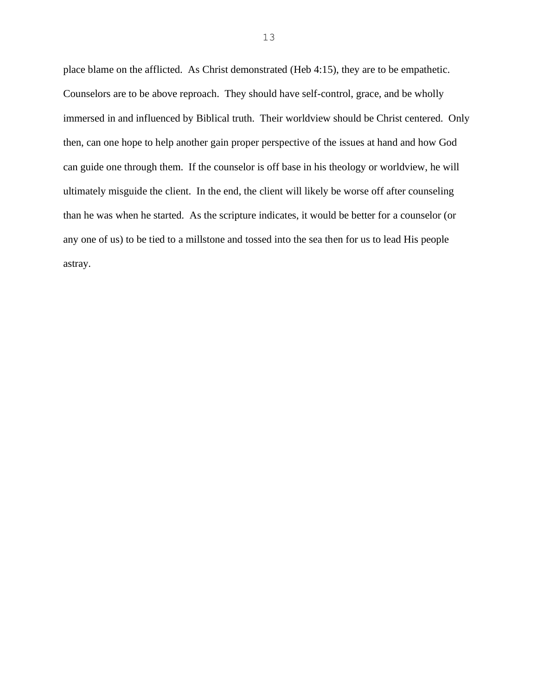place blame on the afflicted. As Christ demonstrated (Heb 4:15), they are to be empathetic. Counselors are to be above reproach. They should have self-control, grace, and be wholly immersed in and influenced by Biblical truth. Their worldview should be Christ centered. Only then, can one hope to help another gain proper perspective of the issues at hand and how God can guide one through them. If the counselor is off base in his theology or worldview, he will ultimately misguide the client. In the end, the client will likely be worse off after counseling than he was when he started. As the scripture indicates, it would be better for a counselor (or any one of us) to be tied to a millstone and tossed into the sea then for us to lead His people astray.